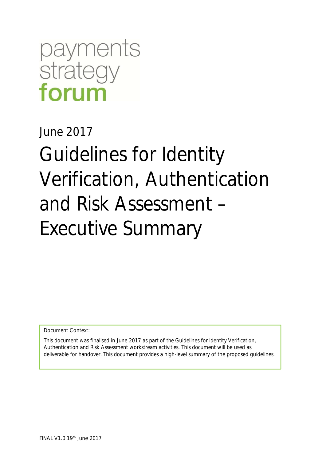# payments strategy forum

June 2017

Guidelines for Identity Verification, Authentication and Risk Assessment – Executive Summary

Document Context:

This document was finalised in June 2017 as part of the Guidelines for Identity Verification, Authentication and Risk Assessment workstream activities. This document will be used as deliverable for handover. This document provides a high-level summary of the proposed guidelines.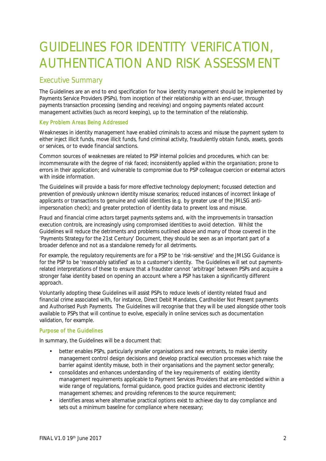## GUIDELINES FOR IDENTITY VERIFICATION, AUTHENTICATION AND RISK ASSESSMENT

### Executive Summary

The Guidelines are an end to end specification for how identity management should be implemented by Payments Service Providers (PSPs), from inception of their relationship with an end-user, through payments transaction processing (sending and receiving) and ongoing payments related account management activities (such as record keeping), up to the termination of the relationship.

#### Key Problem Areas Being Addressed

Weaknesses in identity management have enabled criminals to access and misuse the payment system to either inject illicit funds, move illicit funds, fund criminal activity, fraudulently obtain funds, assets, goods or services, or to evade financial sanctions.

Common sources of weaknesses are related to PSP internal policies and procedures, which can be: incommensurate with the degree of risk faced; inconsistently applied within the organisation; prone to errors in their application; and vulnerable to compromise due to PSP colleague coercion or external actors with inside information.

The Guidelines will provide a basis for more effective technology deployment; focussed detection and prevention of previously unknown identity misuse scenarios; reduced instances of incorrect linkage of applicants or transactions to genuine and valid identities (e.g. by greater use of the JMLSG antiimpersonation check); and greater protection of identity data to prevent loss and misuse.

Fraud and financial crime actors target payments systems and, with the improvements in transaction execution controls, are increasingly using compromised identities to avoid detection. Whilst the Guidelines will reduce the detriments and problems outlined above and many of those covered in the 'Payments Strategy for the 21st Century' Document, they should be seen as an important part of a broader defence and not as a standalone remedy for all detriments.

For example, the regulatory requirements are for a PSP to be 'risk-sensitive' and the JMLSG Guidance is for the PSP to be 'reasonably satisfied' as to a customer's identity. The Guidelines will set out paymentsrelated interpretations of these to ensure that a fraudster cannot 'arbitrage' between PSPs and acquire a stronger false identity based on opening an account where a PSP has taken a significantly different approach.

Voluntarily adopting these Guidelines will assist PSPs to reduce levels of identity related fraud and financial crime associated with, for instance, Direct Debit Mandates, Cardholder Not Present payments and Authorised Push Payments. The Guidelines will recognise that they will be used alongside other tools available to PSPs that will continue to evolve, especially in online services such as documentation validation, for example.

#### Purpose of the Guidelines

In summary, the Guidelines will be a document that:

- better enables PSPs, particularly smaller organisations and new entrants, to make identity management control design decisions and develop practical execution processes which raise the barrier against identity misuse, both in their organisations and the payment sector generally;
- consolidates and enhances understanding of the key requirements of existing identity J. management requirements applicable to Payment Services Providers that are embedded within a wide range of regulations, formal guidance, good practice guides and electronic identity management schemes; and providing references to the source requirement;
- identifies areas where alternative practical options exist to achieve day to day compliance and sets out a minimum baseline for compliance where necessary;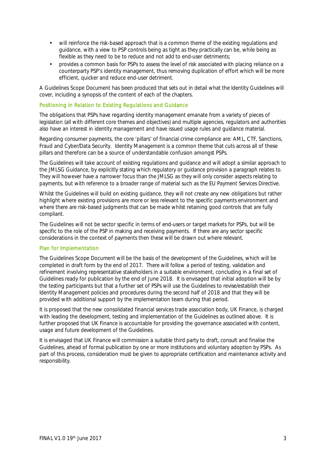- will reinforce the risk-based approach that is a common theme of the existing regulations and guidance, with a view to PSP controls being as tight as they practically can be, while being as flexible as they need to be to reduce and not add to end-user detriments;
- provides a common basis for PSPs to assess the level of risk associated with placing reliance on a counterparty PSP's identity management, thus removing duplication of effort which will be more efficient, quicker and reduce end-user detriment.

A Guidelines Scope Document has been produced that sets out in detail what the Identity Guidelines will cover, including a synopsis of the content of each of the chapters.

#### Positioning in Relation to Existing Regulations and Guidance

The obligations that PSPs have regarding identity management emanate from a variety of pieces of legislation (all with different core themes and objectives) and multiple agencies, regulators and authorities also have an interest in identity management and have issued usage rules and guidance material.

Regarding consumer payments, the core 'pillars' of financial crime compliance are: AML, CTF, Sanctions, Fraud and Cyber/Data Security. Identity Management is a common theme that cuts across all of these pillars and therefore can be a source of understandable confusion amongst PSPs.

The Guidelines will take account of existing regulations and guidance and will adopt a similar approach to the JMLSG Guidance, by explicitly stating which regulatory or guidance provision a paragraph relates to. They will however have a narrower focus than the JMLSG as they will only consider aspects relating to payments, but with reference to a broader range of material such as the EU Payment Services Directive.

Whilst the Guidelines will build on existing guidance, they will not create any new obligations but rather highlight where existing provisions are more or less relevant to the specific payments environment and where there are risk-based judgments that can be made whilst retaining good controls that are fully compliant.

The Guidelines will not be sector specific in terms of end-users or target markets for PSPs, but will be specific to the role of the PSP in making and receiving payments. If there are any sector specific considerations in the context of payments then these will be drawn out where relevant.

#### Plan for Implementation

The Guidelines Scope Document will be the basis of the development of the Guidelines, which will be completed in draft form by the end of 2017. There will follow a period of testing, validation and refinement involving representative stakeholders in a suitable environment, concluding in a final set of Guidelines ready for publication by the end of June 2018. It is envisaged that initial adoption will be by the testing participants but that a further set of PSPs will use the Guidelines to revise/establish their Identity Management policies and procedures during the second half of 2018 and that they will be provided with additional support by the implementation team during that period.

It is proposed that the new consolidated financial services trade association body, UK Finance, is charged with leading the development, testing and implementation of the Guidelines as outlined above. It is further proposed that UK Finance is accountable for providing the governance associated with content, usage and future development of the Guidelines.

It is envisaged that UK Finance will commission a suitable third party to draft, consult and finalise the Guidelines, ahead of formal publication by one or more institutions and voluntary adoption by PSPs. As part of this process, consideration must be given to appropriate certification and maintenance activity and responsibility.